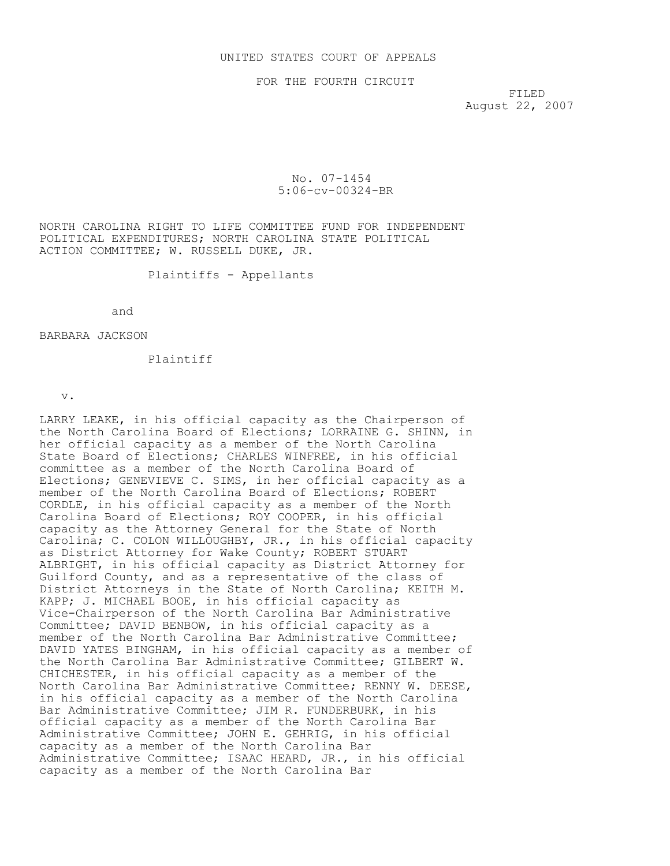## FOR THE FOURTH CIRCUIT

 FILED August 22, 2007

> No. 07-1454 5:06-cv-00324-BR

NORTH CAROLINA RIGHT TO LIFE COMMITTEE FUND FOR INDEPENDENT POLITICAL EXPENDITURES; NORTH CAROLINA STATE POLITICAL ACTION COMMITTEE; W. RUSSELL DUKE, JR.

Plaintiffs - Appellants

and

BARBARA JACKSON

Plaintiff

v.

LARRY LEAKE, in his official capacity as the Chairperson of the North Carolina Board of Elections; LORRAINE G. SHINN, in her official capacity as a member of the North Carolina State Board of Elections; CHARLES WINFREE, in his official committee as a member of the North Carolina Board of Elections; GENEVIEVE C. SIMS, in her official capacity as a member of the North Carolina Board of Elections; ROBERT CORDLE, in his official capacity as a member of the North Carolina Board of Elections; ROY COOPER, in his official capacity as the Attorney General for the State of North Carolina; C. COLON WILLOUGHBY, JR., in his official capacity as District Attorney for Wake County; ROBERT STUART ALBRIGHT, in his official capacity as District Attorney for Guilford County, and as a representative of the class of District Attorneys in the State of North Carolina; KEITH M. KAPP; J. MICHAEL BOOE, in his official capacity as Vice-Chairperson of the North Carolina Bar Administrative Committee; DAVID BENBOW, in his official capacity as a member of the North Carolina Bar Administrative Committee; DAVID YATES BINGHAM, in his official capacity as a member of the North Carolina Bar Administrative Committee; GILBERT W. CHICHESTER, in his official capacity as a member of the North Carolina Bar Administrative Committee; RENNY W. DEESE, in his official capacity as a member of the North Carolina Bar Administrative Committee; JIM R. FUNDERBURK, in his official capacity as a member of the North Carolina Bar Administrative Committee; JOHN E. GEHRIG, in his official capacity as a member of the North Carolina Bar Administrative Committee; ISAAC HEARD, JR., in his official capacity as a member of the North Carolina Bar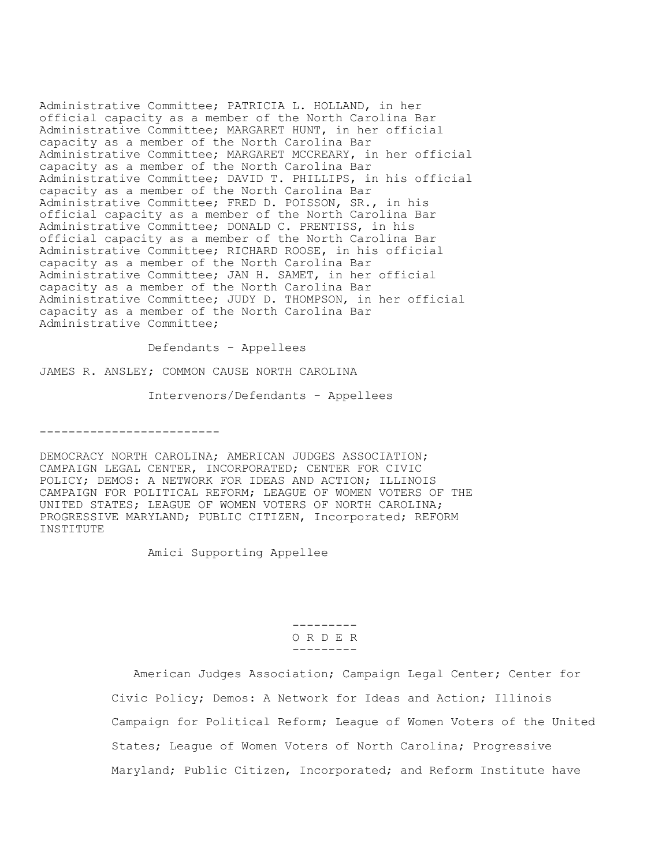Administrative Committee; PATRICIA L. HOLLAND, in her official capacity as a member of the North Carolina Bar Administrative Committee; MARGARET HUNT, in her official capacity as a member of the North Carolina Bar Administrative Committee; MARGARET MCCREARY, in her official capacity as a member of the North Carolina Bar Administrative Committee; DAVID T. PHILLIPS, in his official capacity as a member of the North Carolina Bar Administrative Committee; FRED D. POISSON, SR., in his official capacity as a member of the North Carolina Bar Administrative Committee; DONALD C. PRENTISS, in his official capacity as a member of the North Carolina Bar Administrative Committee; RICHARD ROOSE, in his official capacity as a member of the North Carolina Bar Administrative Committee; JAN H. SAMET, in her official capacity as a member of the North Carolina Bar Administrative Committee; JUDY D. THOMPSON, in her official capacity as a member of the North Carolina Bar Administrative Committee;

Defendants - Appellees

JAMES R. ANSLEY; COMMON CAUSE NORTH CAROLINA

Intervenors/Defendants - Appellees

-------------------------

DEMOCRACY NORTH CAROLINA; AMERICAN JUDGES ASSOCIATION; CAMPAIGN LEGAL CENTER, INCORPORATED; CENTER FOR CIVIC POLICY; DEMOS: A NETWORK FOR IDEAS AND ACTION; ILLINOIS CAMPAIGN FOR POLITICAL REFORM; LEAGUE OF WOMEN VOTERS OF THE UNITED STATES; LEAGUE OF WOMEN VOTERS OF NORTH CAROLINA; PROGRESSIVE MARYLAND; PUBLIC CITIZEN, Incorporated; REFORM INSTITUTE

Amici Supporting Appellee

 --------- O R D E R ---------

> American Judges Association; Campaign Legal Center; Center for Civic Policy; Demos: A Network for Ideas and Action; Illinois Campaign for Political Reform; League of Women Voters of the United States; League of Women Voters of North Carolina; Progressive Maryland; Public Citizen, Incorporated; and Reform Institute have